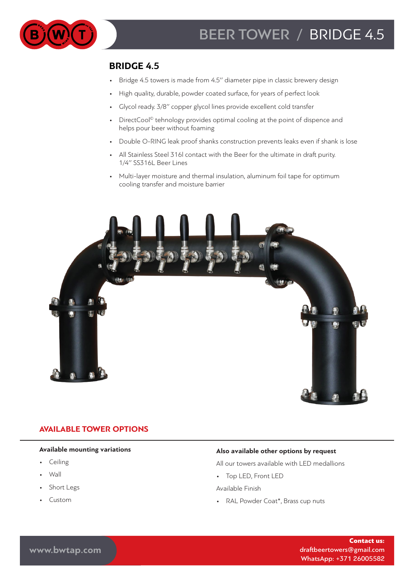

## **BRIDGE 4.5**

- Bridge 4.5 towers is made from 4.5ʹʹ diameter pipe in classic brewery design
- High quality, durable, powder coated surface, for years of perfect look
- Glycol ready. 3/8" copper glycol lines provide excellent cold transfer
- DirectCool<sup>©</sup> tehnology provides optimal cooling at the point of dispence and helps pour beer without foaming
- Double O-RING leak proof shanks construction prevents leaks even if shank is lose
- All Stainless Steel 316l contact with the Beer for the ultimate in draft purity. 1/4ʹʹ SS316L Beer Lines
- Multi-layer moisture and thermal insulation, aluminum foil tape for optimum cooling transfer and moisture barrier



## **AVAILABLE TOWER OPTIONS**

### **Available mounting variations**

- Ceiling
- Wall
- Short Legs
- Custom

### **Also available other options by request**

All our towers available with LED medallions

• Top LED, Front LED

Available Finish

• RAL Powder Coat\*, Brass cup nuts